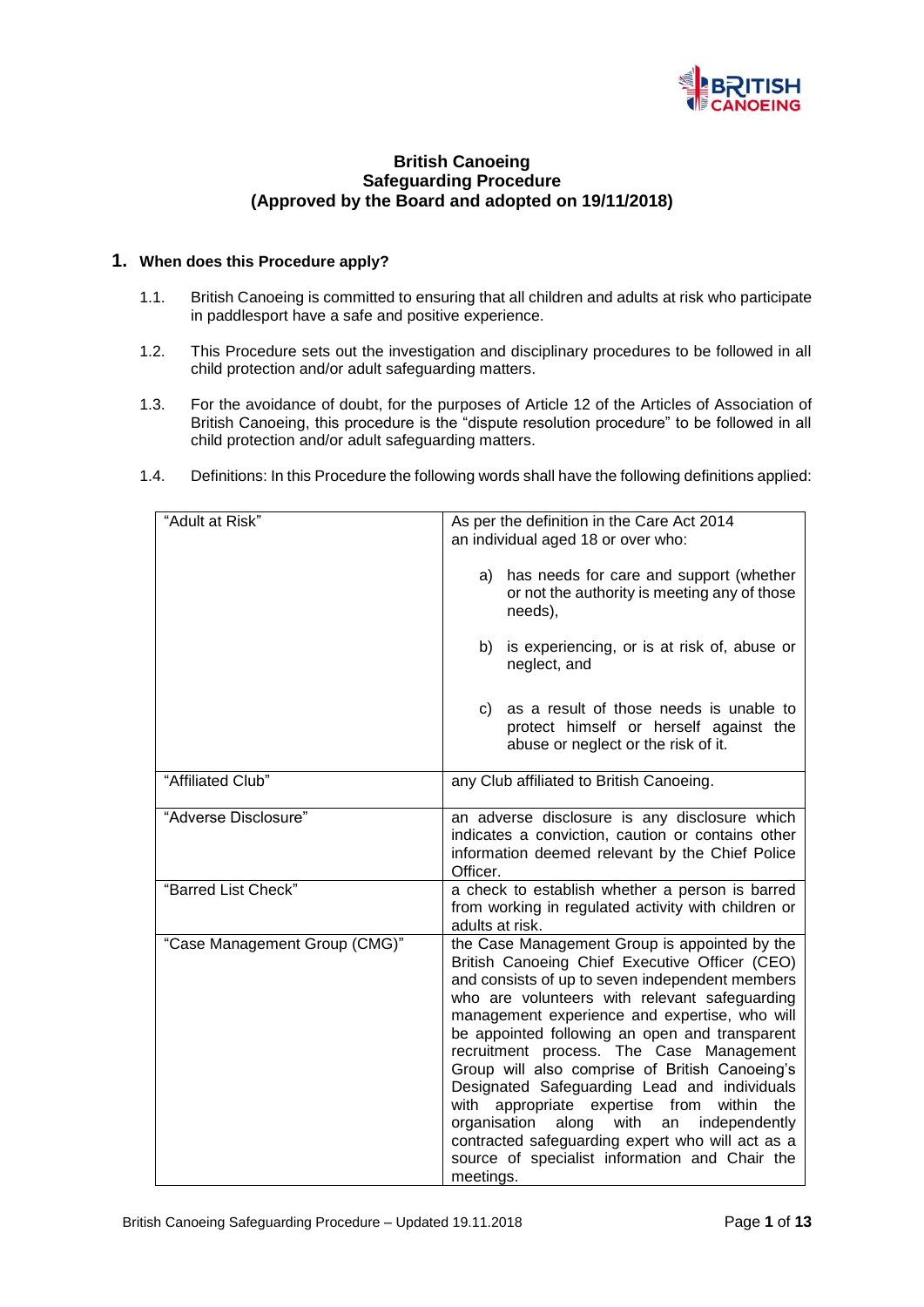

# **British Canoeing Safeguarding Procedure (Approved by the Board and adopted on 19/11/2018)**

## **1. When does this Procedure apply?**

- 1.1. British Canoeing is committed to ensuring that all children and adults at risk who participate in paddlesport have a safe and positive experience.
- 1.2. This Procedure sets out the investigation and disciplinary procedures to be followed in all child protection and/or adult safeguarding matters.
- 1.3. For the avoidance of doubt, for the purposes of Article 12 of the Articles of Association of British Canoeing, this procedure is the "dispute resolution procedure" to be followed in all child protection and/or adult safeguarding matters.
- 1.4. Definitions: In this Procedure the following words shall have the following definitions applied:

| "Adult at Risk"               | As per the definition in the Care Act 2014                                                                                                                                                                                                                                                                                                                                                                                                                                                                                                                                                                                                                                          |
|-------------------------------|-------------------------------------------------------------------------------------------------------------------------------------------------------------------------------------------------------------------------------------------------------------------------------------------------------------------------------------------------------------------------------------------------------------------------------------------------------------------------------------------------------------------------------------------------------------------------------------------------------------------------------------------------------------------------------------|
|                               | an individual aged 18 or over who:                                                                                                                                                                                                                                                                                                                                                                                                                                                                                                                                                                                                                                                  |
|                               | has needs for care and support (whether<br>a)<br>or not the authority is meeting any of those<br>needs),                                                                                                                                                                                                                                                                                                                                                                                                                                                                                                                                                                            |
|                               | is experiencing, or is at risk of, abuse or<br>b)<br>neglect, and                                                                                                                                                                                                                                                                                                                                                                                                                                                                                                                                                                                                                   |
|                               | as a result of those needs is unable to<br>C)<br>protect himself or herself against the<br>abuse or neglect or the risk of it.                                                                                                                                                                                                                                                                                                                                                                                                                                                                                                                                                      |
| "Affiliated Club"             | any Club affiliated to British Canoeing.                                                                                                                                                                                                                                                                                                                                                                                                                                                                                                                                                                                                                                            |
| "Adverse Disclosure"          | an adverse disclosure is any disclosure which<br>indicates a conviction, caution or contains other<br>information deemed relevant by the Chief Police<br>Officer.                                                                                                                                                                                                                                                                                                                                                                                                                                                                                                                   |
| "Barred List Check"           | a check to establish whether a person is barred<br>from working in regulated activity with children or<br>adults at risk.                                                                                                                                                                                                                                                                                                                                                                                                                                                                                                                                                           |
| "Case Management Group (CMG)" | the Case Management Group is appointed by the<br>British Canoeing Chief Executive Officer (CEO)<br>and consists of up to seven independent members<br>who are volunteers with relevant safeguarding<br>management experience and expertise, who will<br>be appointed following an open and transparent<br>recruitment process. The Case Management<br>Group will also comprise of British Canoeing's<br>Designated Safeguarding Lead and individuals<br>with appropriate expertise from<br>within<br>the<br>with<br>organisation<br>along<br>independently<br>an<br>contracted safeguarding expert who will act as a<br>source of specialist information and Chair the<br>meetings. |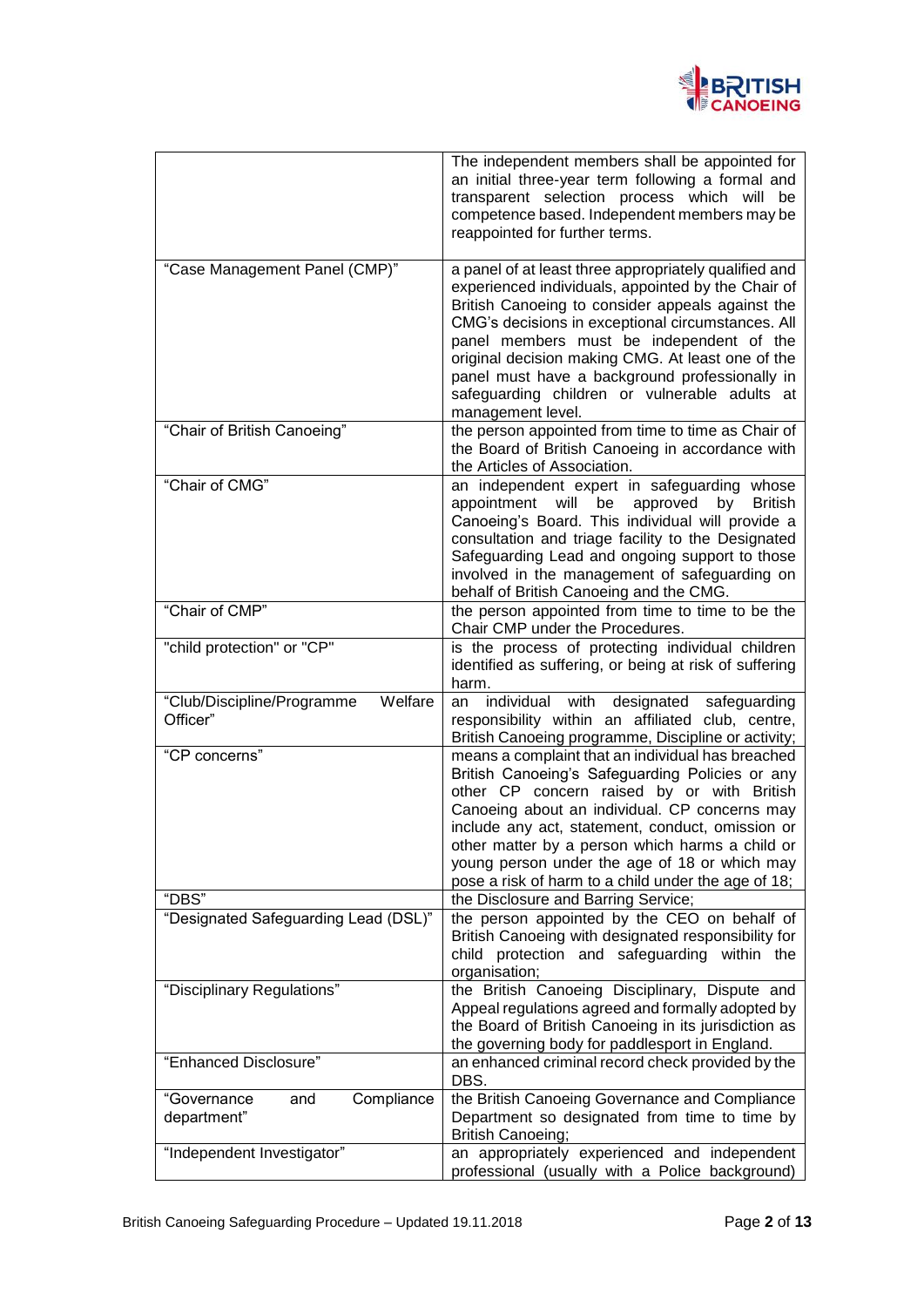

|                                                   | The independent members shall be appointed for<br>an initial three-year term following a formal and<br>transparent selection process which will be<br>competence based. Independent members may be<br>reappointed for further terms.                                                                                                                                                                                                          |
|---------------------------------------------------|-----------------------------------------------------------------------------------------------------------------------------------------------------------------------------------------------------------------------------------------------------------------------------------------------------------------------------------------------------------------------------------------------------------------------------------------------|
| "Case Management Panel (CMP)"                     | a panel of at least three appropriately qualified and<br>experienced individuals, appointed by the Chair of<br>British Canoeing to consider appeals against the<br>CMG's decisions in exceptional circumstances. All<br>panel members must be independent of the<br>original decision making CMG. At least one of the<br>panel must have a background professionally in<br>safeguarding children or vulnerable adults at<br>management level. |
| "Chair of British Canoeing"                       | the person appointed from time to time as Chair of<br>the Board of British Canoeing in accordance with<br>the Articles of Association.                                                                                                                                                                                                                                                                                                        |
| "Chair of CMG"                                    | an independent expert in safeguarding whose<br>appointment<br>will<br>be<br><b>British</b><br>approved<br>by<br>Canoeing's Board. This individual will provide a<br>consultation and triage facility to the Designated<br>Safeguarding Lead and ongoing support to those<br>involved in the management of safeguarding on<br>behalf of British Canoeing and the CMG.                                                                          |
| "Chair of CMP"                                    | the person appointed from time to time to be the<br>Chair CMP under the Procedures.                                                                                                                                                                                                                                                                                                                                                           |
| "child protection" or "CP"                        | is the process of protecting individual children<br>identified as suffering, or being at risk of suffering<br>harm.                                                                                                                                                                                                                                                                                                                           |
| Welfare<br>"Club/Discipline/Programme<br>Officer" | individual<br>with<br>designated<br>safeguarding<br>an<br>responsibility within an affiliated club, centre,<br>British Canoeing programme, Discipline or activity;                                                                                                                                                                                                                                                                            |
| "CP concerns"                                     | means a complaint that an individual has breached<br>British Canoeing's Safeguarding Policies or any<br>other CP concern raised by or with British<br>Canoeing about an individual. CP concerns may<br>include any act, statement, conduct, omission or<br>other matter by a person which harms a child or<br>young person under the age of 18 or which may<br>pose a risk of harm to a child under the age of 18;                            |
| "DBS"                                             | the Disclosure and Barring Service;                                                                                                                                                                                                                                                                                                                                                                                                           |
| "Designated Safeguarding Lead (DSL)"              | the person appointed by the CEO on behalf of<br>British Canoeing with designated responsibility for<br>child protection and safeguarding within the<br>organisation;                                                                                                                                                                                                                                                                          |
| "Disciplinary Regulations"                        | the British Canoeing Disciplinary, Dispute and<br>Appeal regulations agreed and formally adopted by<br>the Board of British Canoeing in its jurisdiction as<br>the governing body for paddlesport in England.                                                                                                                                                                                                                                 |
| "Enhanced Disclosure"                             | an enhanced criminal record check provided by the<br>DBS.                                                                                                                                                                                                                                                                                                                                                                                     |
| "Governance<br>Compliance<br>and<br>department"   | the British Canoeing Governance and Compliance<br>Department so designated from time to time by<br><b>British Canoeing;</b>                                                                                                                                                                                                                                                                                                                   |
| "Independent Investigator"                        | an appropriately experienced and independent<br>professional (usually with a Police background)                                                                                                                                                                                                                                                                                                                                               |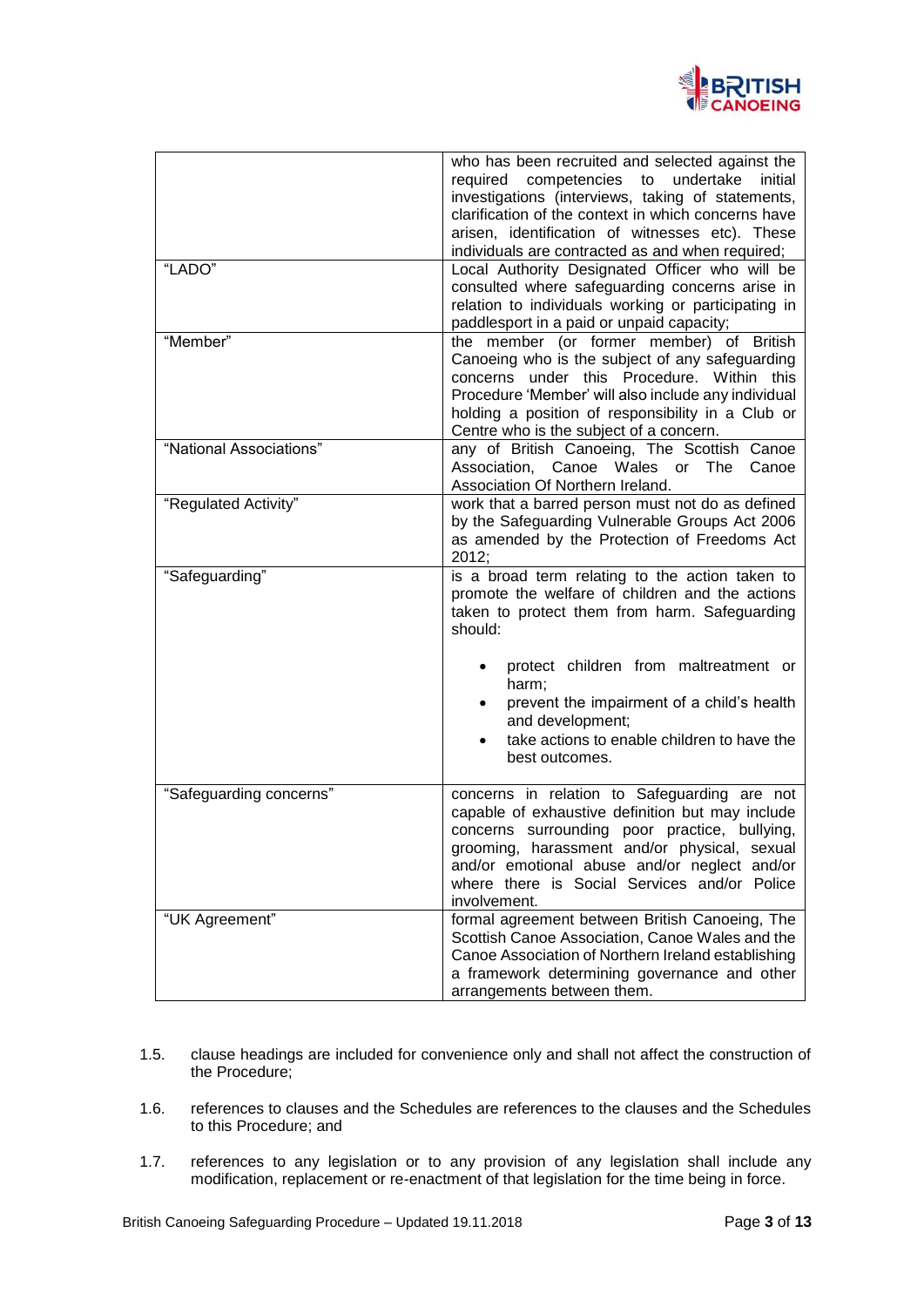

| "LADO"<br>"Member"      | who has been recruited and selected against the<br>required competencies to<br>undertake<br>initial<br>investigations (interviews, taking of statements,<br>clarification of the context in which concerns have<br>arisen, identification of witnesses etc). These<br>individuals are contracted as and when required;<br>Local Authority Designated Officer who will be<br>consulted where safeguarding concerns arise in<br>relation to individuals working or participating in<br>paddlesport in a paid or unpaid capacity; |
|-------------------------|--------------------------------------------------------------------------------------------------------------------------------------------------------------------------------------------------------------------------------------------------------------------------------------------------------------------------------------------------------------------------------------------------------------------------------------------------------------------------------------------------------------------------------|
|                         | the member (or former member) of British<br>Canoeing who is the subject of any safeguarding<br>concerns under this Procedure. Within this<br>Procedure 'Member' will also include any individual<br>holding a position of responsibility in a Club or<br>Centre who is the subject of a concern.                                                                                                                                                                                                                               |
| "National Associations" | any of British Canoeing, The Scottish Canoe<br>Association, Canoe Wales or<br>The<br>Canoe<br>Association Of Northern Ireland.                                                                                                                                                                                                                                                                                                                                                                                                 |
| "Regulated Activity"    | work that a barred person must not do as defined<br>by the Safeguarding Vulnerable Groups Act 2006<br>as amended by the Protection of Freedoms Act<br>2012;                                                                                                                                                                                                                                                                                                                                                                    |
| "Safeguarding"          | is a broad term relating to the action taken to<br>promote the welfare of children and the actions<br>taken to protect them from harm. Safeguarding<br>should:                                                                                                                                                                                                                                                                                                                                                                 |
|                         | protect children from maltreatment or<br>harm;<br>prevent the impairment of a child's health<br>and development;<br>take actions to enable children to have the<br>best outcomes.                                                                                                                                                                                                                                                                                                                                              |
| "Safeguarding concerns" | concerns in relation to Safeguarding are not<br>capable of exhaustive definition but may include<br>concerns surrounding poor practice, bullying,<br>grooming, harassment and/or physical, sexual<br>and/or emotional abuse and/or neglect and/or<br>where there is Social Services and/or Police<br>involvement.                                                                                                                                                                                                              |
| "UK Agreement"          | formal agreement between British Canoeing, The<br>Scottish Canoe Association, Canoe Wales and the<br>Canoe Association of Northern Ireland establishing<br>a framework determining governance and other<br>arrangements between them.                                                                                                                                                                                                                                                                                          |

- 1.5. clause headings are included for convenience only and shall not affect the construction of the Procedure;
- 1.6. references to clauses and the Schedules are references to the clauses and the Schedules to this Procedure; and
- 1.7. references to any legislation or to any provision of any legislation shall include any modification, replacement or re-enactment of that legislation for the time being in force.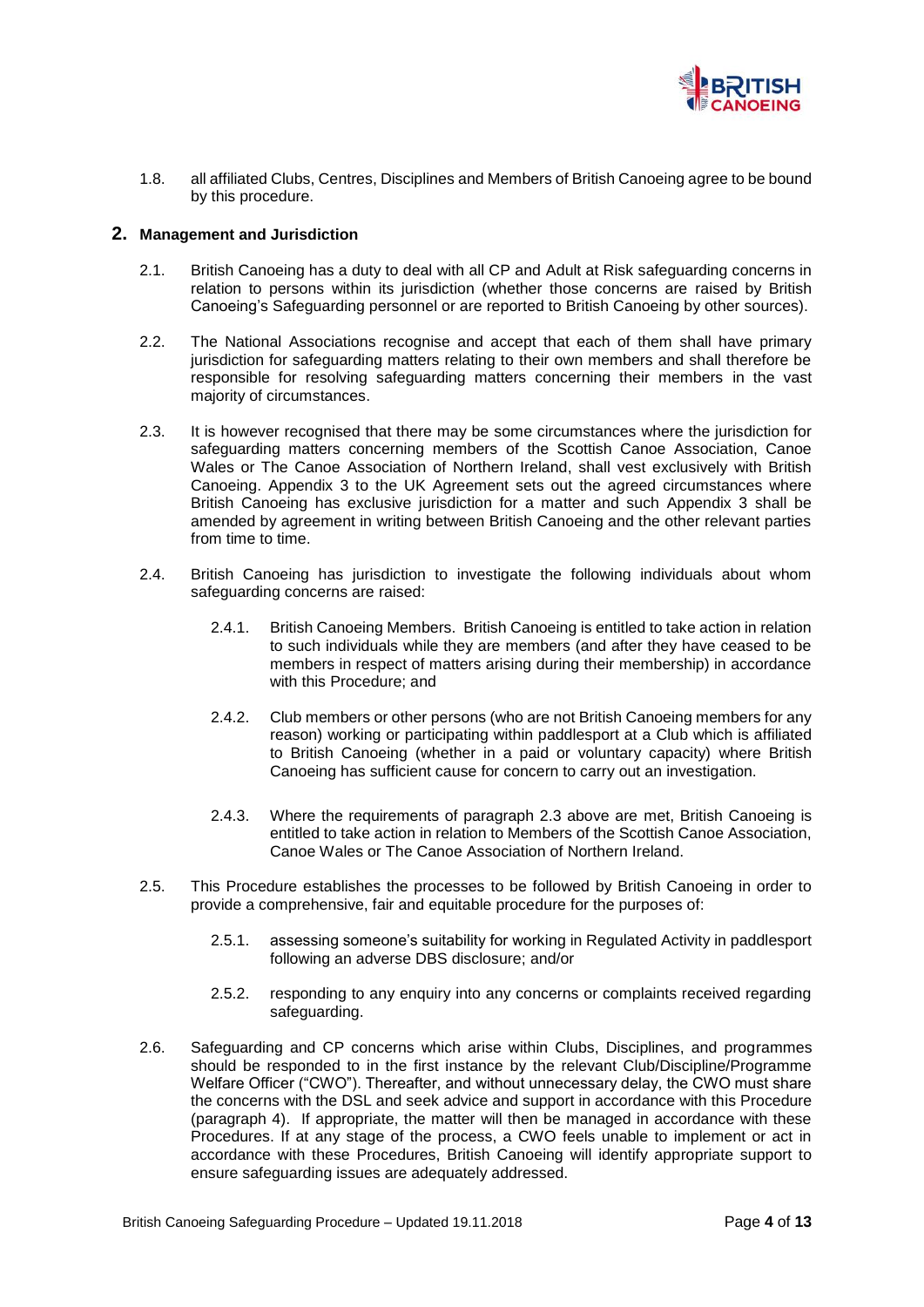

1.8. all affiliated Clubs, Centres, Disciplines and Members of British Canoeing agree to be bound by this procedure.

### **2. Management and Jurisdiction**

- 2.1. British Canoeing has a duty to deal with all CP and Adult at Risk safeguarding concerns in relation to persons within its jurisdiction (whether those concerns are raised by British Canoeing's Safeguarding personnel or are reported to British Canoeing by other sources).
- 2.2. The National Associations recognise and accept that each of them shall have primary jurisdiction for safeguarding matters relating to their own members and shall therefore be responsible for resolving safeguarding matters concerning their members in the vast majority of circumstances.
- 2.3. It is however recognised that there may be some circumstances where the jurisdiction for safeguarding matters concerning members of the Scottish Canoe Association, Canoe Wales or The Canoe Association of Northern Ireland, shall vest exclusively with British Canoeing. Appendix 3 to the UK Agreement sets out the agreed circumstances where British Canoeing has exclusive jurisdiction for a matter and such Appendix 3 shall be amended by agreement in writing between British Canoeing and the other relevant parties from time to time.
- 2.4. British Canoeing has jurisdiction to investigate the following individuals about whom safeguarding concerns are raised:
	- 2.4.1. British Canoeing Members. British Canoeing is entitled to take action in relation to such individuals while they are members (and after they have ceased to be members in respect of matters arising during their membership) in accordance with this Procedure; and
	- 2.4.2. Club members or other persons (who are not British Canoeing members for any reason) working or participating within paddlesport at a Club which is affiliated to British Canoeing (whether in a paid or voluntary capacity) where British Canoeing has sufficient cause for concern to carry out an investigation.
	- 2.4.3. Where the requirements of paragraph 2.3 above are met, British Canoeing is entitled to take action in relation to Members of the Scottish Canoe Association, Canoe Wales or The Canoe Association of Northern Ireland.
- 2.5. This Procedure establishes the processes to be followed by British Canoeing in order to provide a comprehensive, fair and equitable procedure for the purposes of:
	- 2.5.1. assessing someone's suitability for working in Regulated Activity in paddlesport following an adverse DBS disclosure; and/or
	- 2.5.2. responding to any enquiry into any concerns or complaints received regarding safeguarding.
- 2.6. Safeguarding and CP concerns which arise within Clubs, Disciplines, and programmes should be responded to in the first instance by the relevant Club/Discipline/Programme Welfare Officer ("CWO"). Thereafter, and without unnecessary delay, the CWO must share the concerns with the DSL and seek advice and support in accordance with this Procedure (paragraph 4). If appropriate, the matter will then be managed in accordance with these Procedures. If at any stage of the process, a CWO feels unable to implement or act in accordance with these Procedures, British Canoeing will identify appropriate support to ensure safeguarding issues are adequately addressed.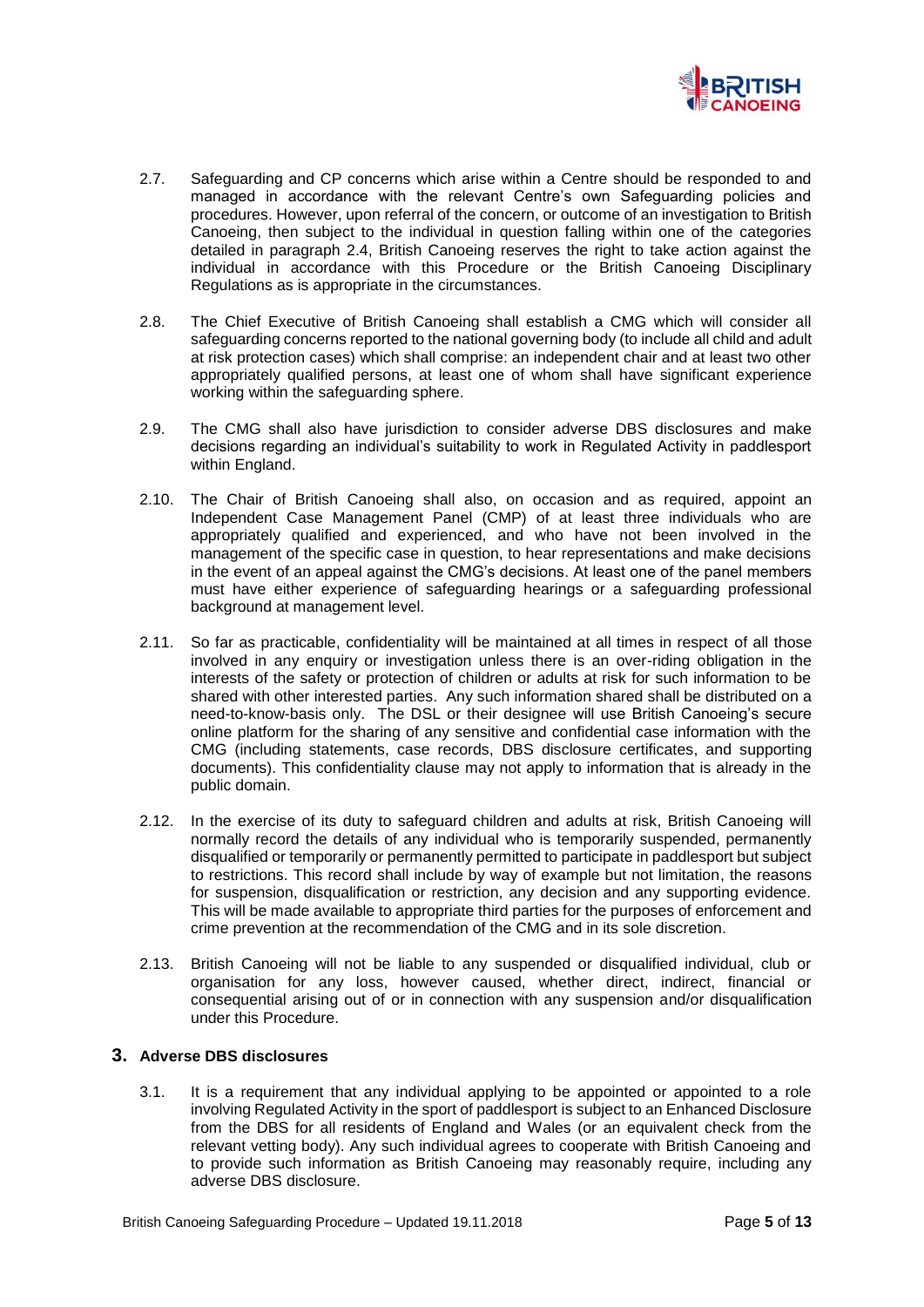

- 2.7. Safeguarding and CP concerns which arise within a Centre should be responded to and managed in accordance with the relevant Centre's own Safeguarding policies and procedures. However, upon referral of the concern, or outcome of an investigation to British Canoeing, then subject to the individual in question falling within one of the categories detailed in paragraph 2.4, British Canoeing reserves the right to take action against the individual in accordance with this Procedure or the British Canoeing Disciplinary Regulations as is appropriate in the circumstances.
- 2.8. The Chief Executive of British Canoeing shall establish a CMG which will consider all safeguarding concerns reported to the national governing body (to include all child and adult at risk protection cases) which shall comprise: an independent chair and at least two other appropriately qualified persons, at least one of whom shall have significant experience working within the safeguarding sphere.
- 2.9. The CMG shall also have jurisdiction to consider adverse DBS disclosures and make decisions regarding an individual's suitability to work in Regulated Activity in paddlesport within England.
- 2.10. The Chair of British Canoeing shall also, on occasion and as required, appoint an Independent Case Management Panel (CMP) of at least three individuals who are appropriately qualified and experienced, and who have not been involved in the management of the specific case in question, to hear representations and make decisions in the event of an appeal against the CMG's decisions. At least one of the panel members must have either experience of safeguarding hearings or a safeguarding professional background at management level.
- 2.11. So far as practicable, confidentiality will be maintained at all times in respect of all those involved in any enquiry or investigation unless there is an over-riding obligation in the interests of the safety or protection of children or adults at risk for such information to be shared with other interested parties. Any such information shared shall be distributed on a need-to-know-basis only. The DSL or their designee will use British Canoeing's secure online platform for the sharing of any sensitive and confidential case information with the CMG (including statements, case records, DBS disclosure certificates, and supporting documents). This confidentiality clause may not apply to information that is already in the public domain.
- 2.12. In the exercise of its duty to safeguard children and adults at risk, British Canoeing will normally record the details of any individual who is temporarily suspended, permanently disqualified or temporarily or permanently permitted to participate in paddlesport but subject to restrictions. This record shall include by way of example but not limitation, the reasons for suspension, disqualification or restriction, any decision and any supporting evidence. This will be made available to appropriate third parties for the purposes of enforcement and crime prevention at the recommendation of the CMG and in its sole discretion.
- 2.13. British Canoeing will not be liable to any suspended or disqualified individual, club or organisation for any loss, however caused, whether direct, indirect, financial or consequential arising out of or in connection with any suspension and/or disqualification under this Procedure.

# **3. Adverse DBS disclosures**

3.1. It is a requirement that any individual applying to be appointed or appointed to a role involving Regulated Activity in the sport of paddlesport is subject to an Enhanced Disclosure from the DBS for all residents of England and Wales (or an equivalent check from the relevant vetting body). Any such individual agrees to cooperate with British Canoeing and to provide such information as British Canoeing may reasonably require, including any adverse DBS disclosure.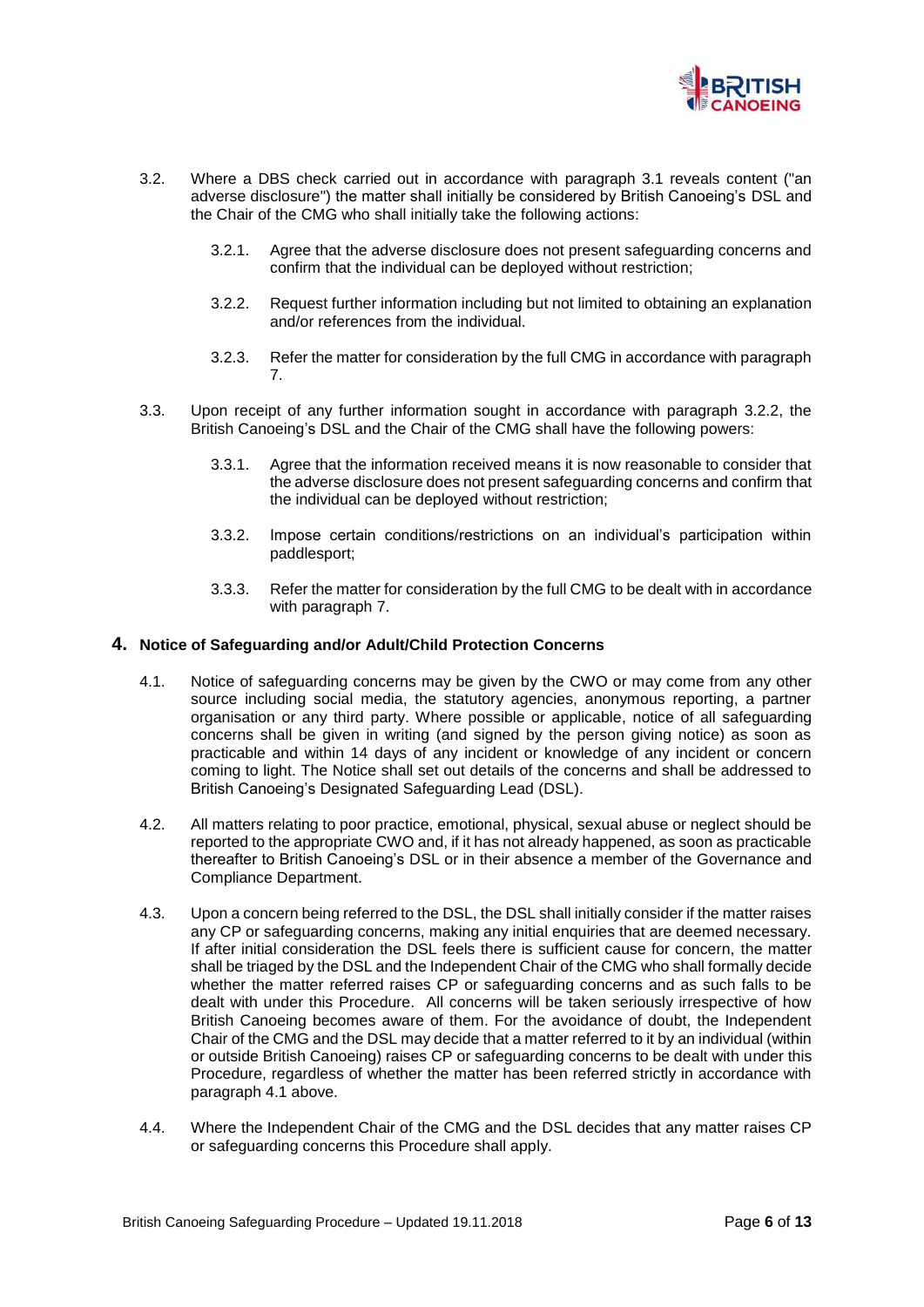

- 3.2. Where a DBS check carried out in accordance with paragraph 3.1 reveals content ("an adverse disclosure") the matter shall initially be considered by British Canoeing's DSL and the Chair of the CMG who shall initially take the following actions:
	- 3.2.1. Agree that the adverse disclosure does not present safeguarding concerns and confirm that the individual can be deployed without restriction;
	- 3.2.2. Request further information including but not limited to obtaining an explanation and/or references from the individual.
	- 3.2.3. Refer the matter for consideration by the full CMG in accordance with paragraph 7.
- 3.3. Upon receipt of any further information sought in accordance with paragraph 3.2.2, the British Canoeing's DSL and the Chair of the CMG shall have the following powers:
	- 3.3.1. Agree that the information received means it is now reasonable to consider that the adverse disclosure does not present safeguarding concerns and confirm that the individual can be deployed without restriction;
	- 3.3.2. Impose certain conditions/restrictions on an individual's participation within paddlesport;
	- 3.3.3. Refer the matter for consideration by the full CMG to be dealt with in accordance with paragraph 7.

#### **4. Notice of Safeguarding and/or Adult/Child Protection Concerns**

- 4.1. Notice of safeguarding concerns may be given by the CWO or may come from any other source including social media, the statutory agencies, anonymous reporting, a partner organisation or any third party. Where possible or applicable, notice of all safeguarding concerns shall be given in writing (and signed by the person giving notice) as soon as practicable and within 14 days of any incident or knowledge of any incident or concern coming to light. The Notice shall set out details of the concerns and shall be addressed to British Canoeing's Designated Safeguarding Lead (DSL).
- 4.2. All matters relating to poor practice, emotional, physical, sexual abuse or neglect should be reported to the appropriate CWO and, if it has not already happened, as soon as practicable thereafter to British Canoeing's DSL or in their absence a member of the Governance and Compliance Department.
- 4.3. Upon a concern being referred to the DSL, the DSL shall initially consider if the matter raises any CP or safeguarding concerns, making any initial enquiries that are deemed necessary. If after initial consideration the DSL feels there is sufficient cause for concern, the matter shall be triaged by the DSL and the Independent Chair of the CMG who shall formally decide whether the matter referred raises CP or safeguarding concerns and as such falls to be dealt with under this Procedure. All concerns will be taken seriously irrespective of how British Canoeing becomes aware of them. For the avoidance of doubt, the Independent Chair of the CMG and the DSL may decide that a matter referred to it by an individual (within or outside British Canoeing) raises CP or safeguarding concerns to be dealt with under this Procedure, regardless of whether the matter has been referred strictly in accordance with paragraph 4.1 above.
- 4.4. Where the Independent Chair of the CMG and the DSL decides that any matter raises CP or safeguarding concerns this Procedure shall apply.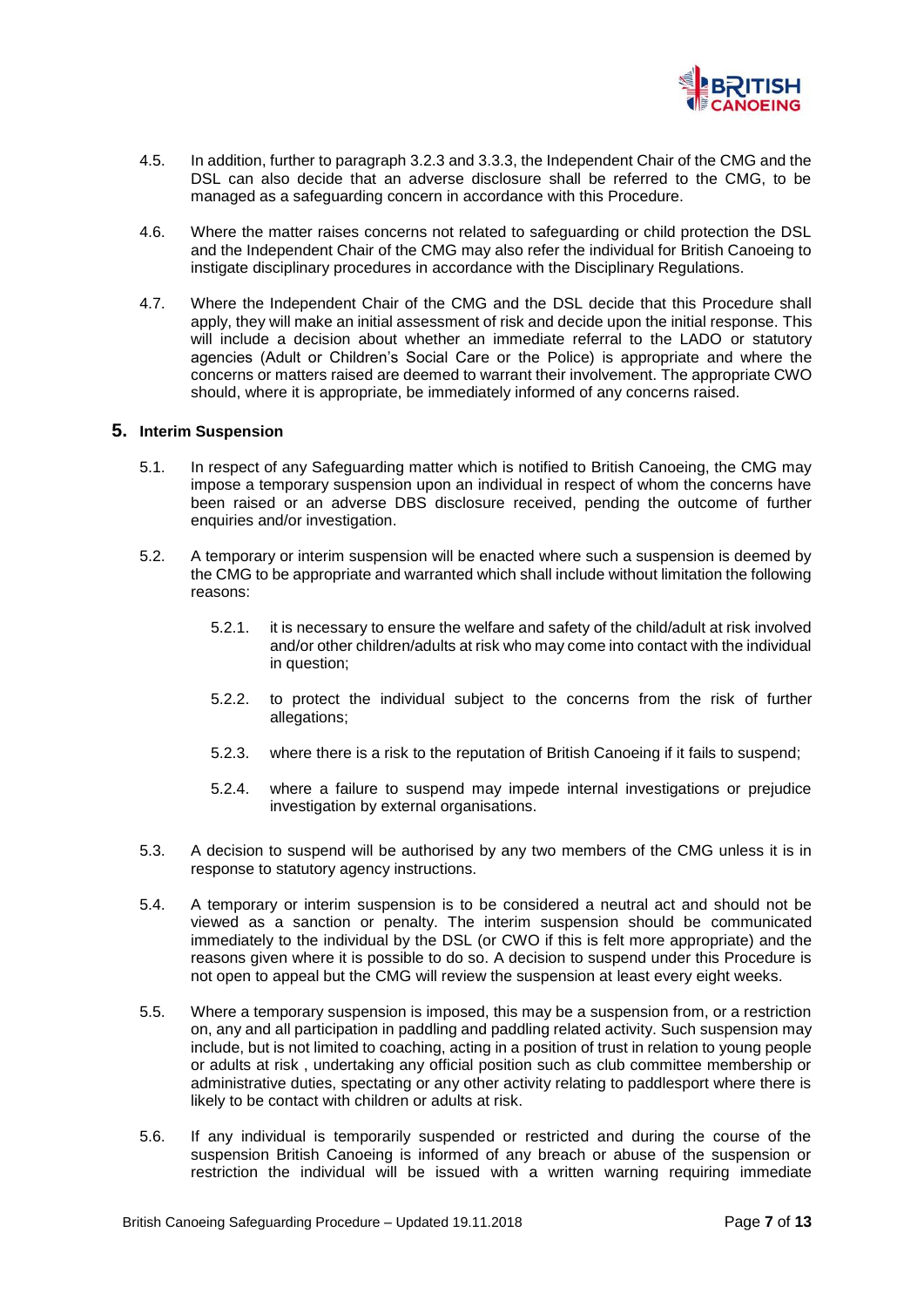

- 4.5. In addition, further to paragraph 3.2.3 and 3.3.3, the Independent Chair of the CMG and the DSL can also decide that an adverse disclosure shall be referred to the CMG, to be managed as a safeguarding concern in accordance with this Procedure.
- 4.6. Where the matter raises concerns not related to safeguarding or child protection the DSL and the Independent Chair of the CMG may also refer the individual for British Canoeing to instigate disciplinary procedures in accordance with the Disciplinary Regulations.
- 4.7. Where the Independent Chair of the CMG and the DSL decide that this Procedure shall apply, they will make an initial assessment of risk and decide upon the initial response. This will include a decision about whether an immediate referral to the LADO or statutory agencies (Adult or Children's Social Care or the Police) is appropriate and where the concerns or matters raised are deemed to warrant their involvement. The appropriate CWO should, where it is appropriate, be immediately informed of any concerns raised.

#### **5. Interim Suspension**

- 5.1. In respect of any Safeguarding matter which is notified to British Canoeing, the CMG may impose a temporary suspension upon an individual in respect of whom the concerns have been raised or an adverse DBS disclosure received, pending the outcome of further enquiries and/or investigation.
- 5.2. A temporary or interim suspension will be enacted where such a suspension is deemed by the CMG to be appropriate and warranted which shall include without limitation the following reasons:
	- 5.2.1. it is necessary to ensure the welfare and safety of the child/adult at risk involved and/or other children/adults at risk who may come into contact with the individual in question;
	- 5.2.2. to protect the individual subject to the concerns from the risk of further allegations;
	- 5.2.3. where there is a risk to the reputation of British Canoeing if it fails to suspend;
	- 5.2.4. where a failure to suspend may impede internal investigations or prejudice investigation by external organisations.
- 5.3. A decision to suspend will be authorised by any two members of the CMG unless it is in response to statutory agency instructions.
- 5.4. A temporary or interim suspension is to be considered a neutral act and should not be viewed as a sanction or penalty. The interim suspension should be communicated immediately to the individual by the DSL (or CWO if this is felt more appropriate) and the reasons given where it is possible to do so. A decision to suspend under this Procedure is not open to appeal but the CMG will review the suspension at least every eight weeks.
- 5.5. Where a temporary suspension is imposed, this may be a suspension from, or a restriction on, any and all participation in paddling and paddling related activity. Such suspension may include, but is not limited to coaching, acting in a position of trust in relation to young people or adults at risk , undertaking any official position such as club committee membership or administrative duties, spectating or any other activity relating to paddlesport where there is likely to be contact with children or adults at risk.
- 5.6. If any individual is temporarily suspended or restricted and during the course of the suspension British Canoeing is informed of any breach or abuse of the suspension or restriction the individual will be issued with a written warning requiring immediate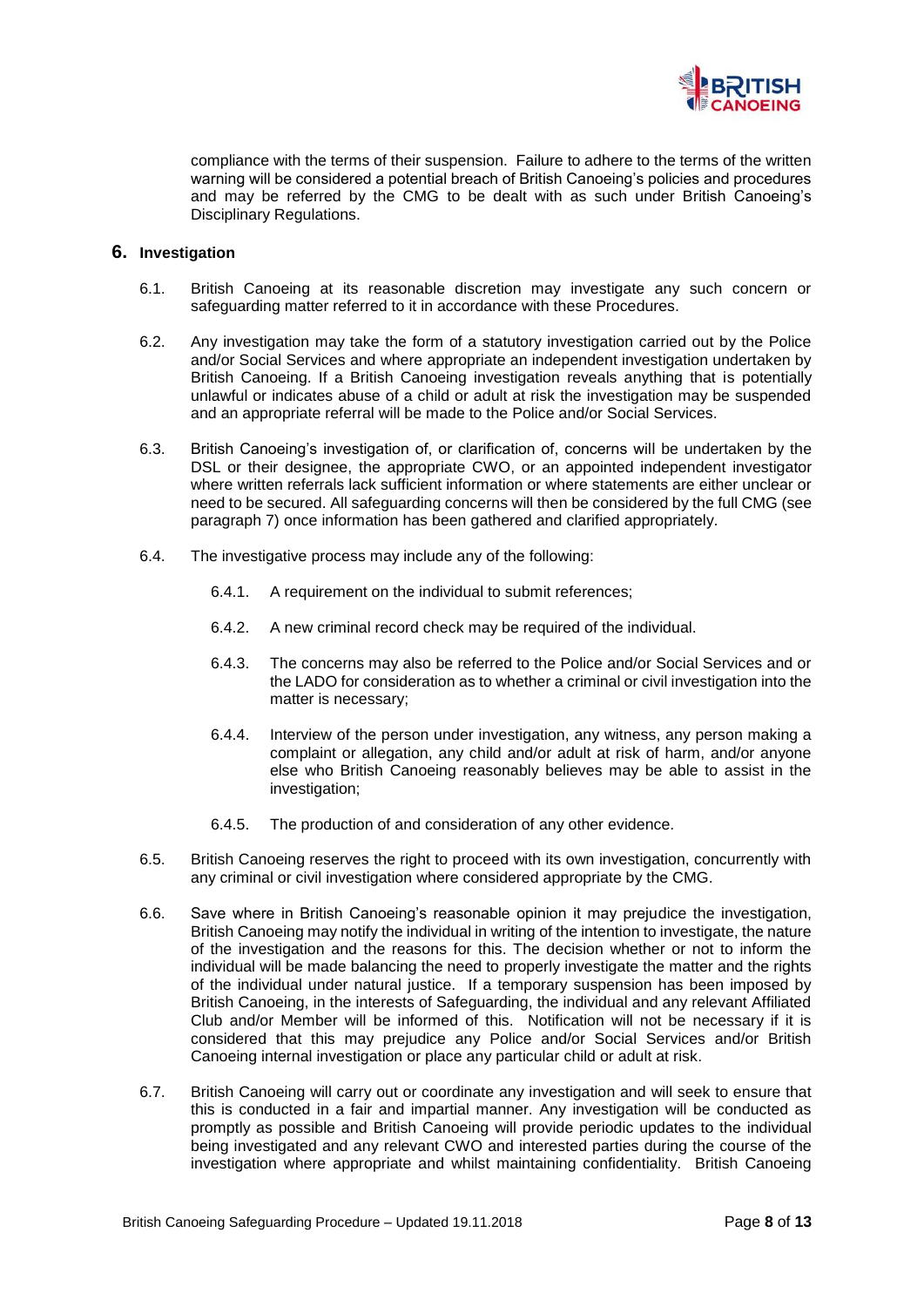

compliance with the terms of their suspension. Failure to adhere to the terms of the written warning will be considered a potential breach of British Canoeing's policies and procedures and may be referred by the CMG to be dealt with as such under British Canoeing's Disciplinary Regulations.

## **6. Investigation**

- 6.1. British Canoeing at its reasonable discretion may investigate any such concern or safeguarding matter referred to it in accordance with these Procedures.
- 6.2. Any investigation may take the form of a statutory investigation carried out by the Police and/or Social Services and where appropriate an independent investigation undertaken by British Canoeing. If a British Canoeing investigation reveals anything that is potentially unlawful or indicates abuse of a child or adult at risk the investigation may be suspended and an appropriate referral will be made to the Police and/or Social Services.
- 6.3. British Canoeing's investigation of, or clarification of, concerns will be undertaken by the DSL or their designee, the appropriate CWO, or an appointed independent investigator where written referrals lack sufficient information or where statements are either unclear or need to be secured. All safeguarding concerns will then be considered by the full CMG (see paragraph 7) once information has been gathered and clarified appropriately.
- 6.4. The investigative process may include any of the following:
	- 6.4.1. A requirement on the individual to submit references;
	- 6.4.2. A new criminal record check may be required of the individual.
	- 6.4.3. The concerns may also be referred to the Police and/or Social Services and or the LADO for consideration as to whether a criminal or civil investigation into the matter is necessary;
	- 6.4.4. Interview of the person under investigation, any witness, any person making a complaint or allegation, any child and/or adult at risk of harm, and/or anyone else who British Canoeing reasonably believes may be able to assist in the investigation;
	- 6.4.5. The production of and consideration of any other evidence.
- 6.5. British Canoeing reserves the right to proceed with its own investigation, concurrently with any criminal or civil investigation where considered appropriate by the CMG.
- 6.6. Save where in British Canoeing's reasonable opinion it may prejudice the investigation, British Canoeing may notify the individual in writing of the intention to investigate, the nature of the investigation and the reasons for this. The decision whether or not to inform the individual will be made balancing the need to properly investigate the matter and the rights of the individual under natural justice. If a temporary suspension has been imposed by British Canoeing, in the interests of Safeguarding, the individual and any relevant Affiliated Club and/or Member will be informed of this. Notification will not be necessary if it is considered that this may prejudice any Police and/or Social Services and/or British Canoeing internal investigation or place any particular child or adult at risk.
- 6.7. British Canoeing will carry out or coordinate any investigation and will seek to ensure that this is conducted in a fair and impartial manner. Any investigation will be conducted as promptly as possible and British Canoeing will provide periodic updates to the individual being investigated and any relevant CWO and interested parties during the course of the investigation where appropriate and whilst maintaining confidentiality. British Canoeing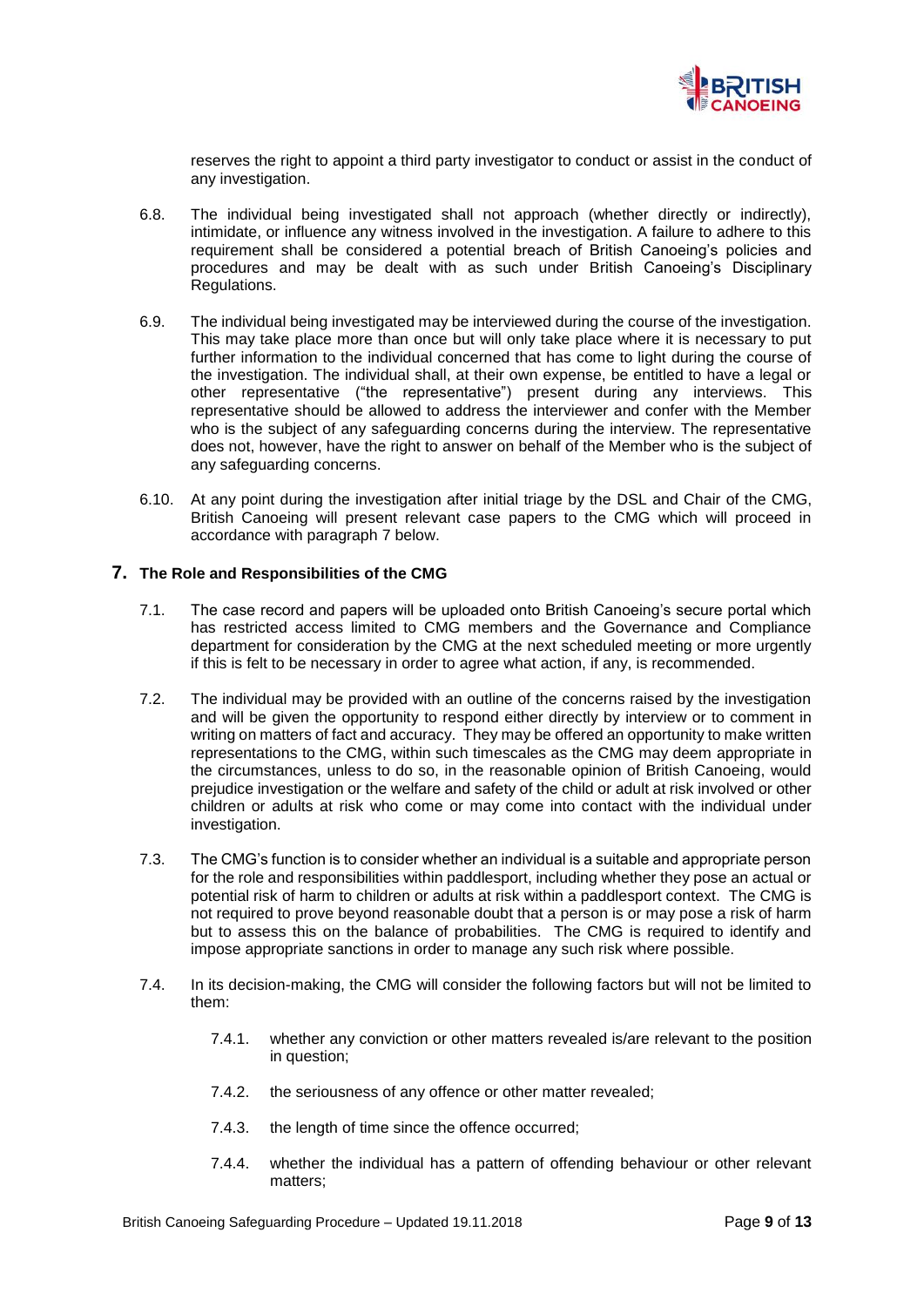

reserves the right to appoint a third party investigator to conduct or assist in the conduct of any investigation.

- 6.8. The individual being investigated shall not approach (whether directly or indirectly), intimidate, or influence any witness involved in the investigation. A failure to adhere to this requirement shall be considered a potential breach of British Canoeing's policies and procedures and may be dealt with as such under British Canoeing's Disciplinary Regulations.
- 6.9. The individual being investigated may be interviewed during the course of the investigation. This may take place more than once but will only take place where it is necessary to put further information to the individual concerned that has come to light during the course of the investigation. The individual shall, at their own expense, be entitled to have a legal or other representative ("the representative") present during any interviews. This representative should be allowed to address the interviewer and confer with the Member who is the subject of any safeguarding concerns during the interview. The representative does not, however, have the right to answer on behalf of the Member who is the subject of any safeguarding concerns.
- 6.10. At any point during the investigation after initial triage by the DSL and Chair of the CMG, British Canoeing will present relevant case papers to the CMG which will proceed in accordance with paragraph 7 below.

#### **7. The Role and Responsibilities of the CMG**

- 7.1. The case record and papers will be uploaded onto British Canoeing's secure portal which has restricted access limited to CMG members and the Governance and Compliance department for consideration by the CMG at the next scheduled meeting or more urgently if this is felt to be necessary in order to agree what action, if any, is recommended.
- 7.2. The individual may be provided with an outline of the concerns raised by the investigation and will be given the opportunity to respond either directly by interview or to comment in writing on matters of fact and accuracy. They may be offered an opportunity to make written representations to the CMG, within such timescales as the CMG may deem appropriate in the circumstances, unless to do so, in the reasonable opinion of British Canoeing, would prejudice investigation or the welfare and safety of the child or adult at risk involved or other children or adults at risk who come or may come into contact with the individual under investigation.
- 7.3. The CMG's function is to consider whether an individual is a suitable and appropriate person for the role and responsibilities within paddlesport, including whether they pose an actual or potential risk of harm to children or adults at risk within a paddlesport context. The CMG is not required to prove beyond reasonable doubt that a person is or may pose a risk of harm but to assess this on the balance of probabilities. The CMG is required to identify and impose appropriate sanctions in order to manage any such risk where possible.
- 7.4. In its decision-making, the CMG will consider the following factors but will not be limited to them:
	- 7.4.1. whether any conviction or other matters revealed is/are relevant to the position in question;
	- 7.4.2. the seriousness of any offence or other matter revealed;
	- 7.4.3. the length of time since the offence occurred;
	- 7.4.4. whether the individual has a pattern of offending behaviour or other relevant matters;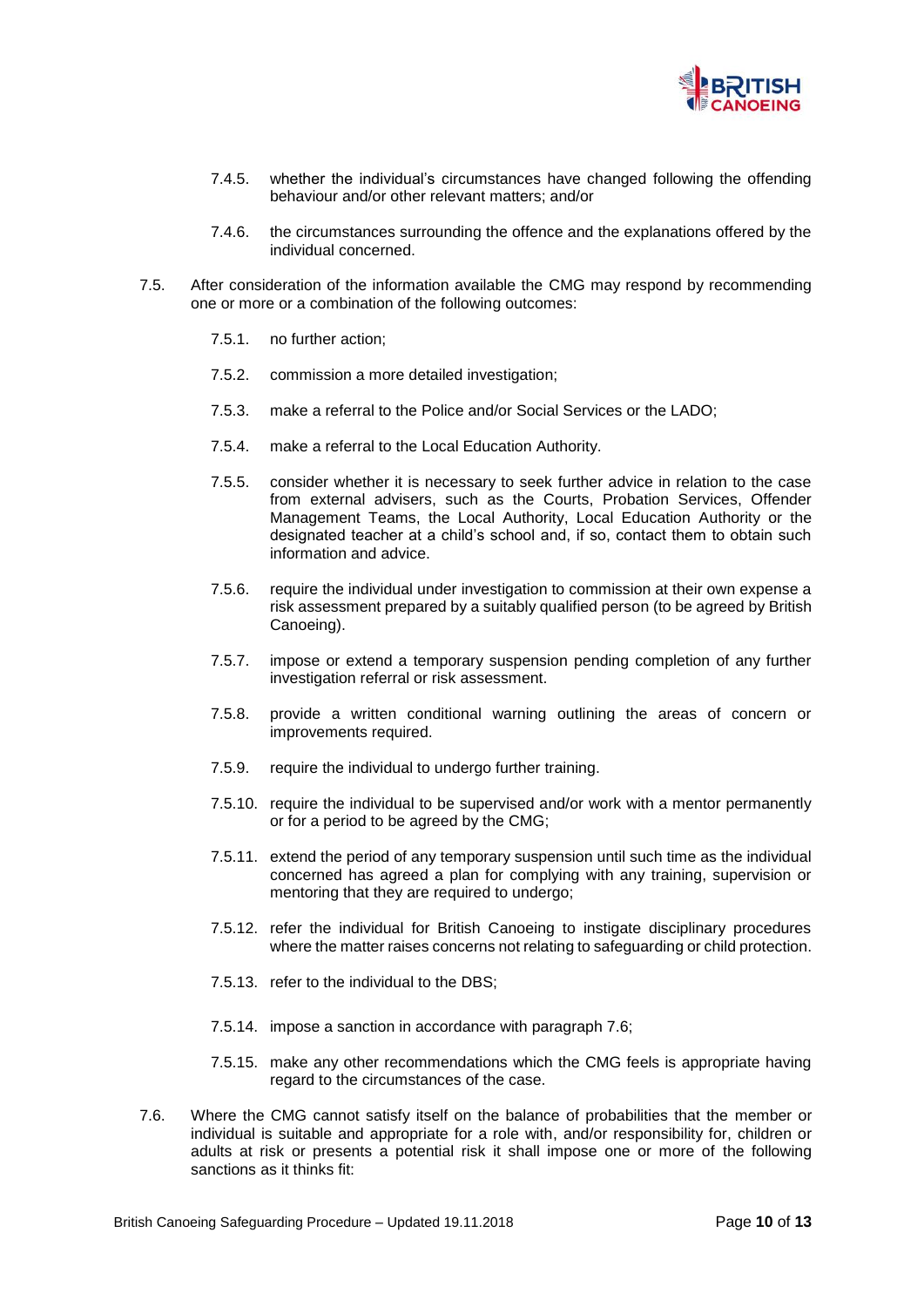

- 7.4.5. whether the individual's circumstances have changed following the offending behaviour and/or other relevant matters; and/or
- 7.4.6. the circumstances surrounding the offence and the explanations offered by the individual concerned.
- 7.5. After consideration of the information available the CMG may respond by recommending one or more or a combination of the following outcomes:
	- 7.5.1. no further action;
	- 7.5.2. commission a more detailed investigation;
	- 7.5.3. make a referral to the Police and/or Social Services or the LADO;
	- 7.5.4. make a referral to the Local Education Authority.
	- 7.5.5. consider whether it is necessary to seek further advice in relation to the case from external advisers, such as the Courts, Probation Services, Offender Management Teams, the Local Authority, Local Education Authority or the designated teacher at a child's school and, if so, contact them to obtain such information and advice.
	- 7.5.6. require the individual under investigation to commission at their own expense a risk assessment prepared by a suitably qualified person (to be agreed by British Canoeing).
	- 7.5.7. impose or extend a temporary suspension pending completion of any further investigation referral or risk assessment.
	- 7.5.8. provide a written conditional warning outlining the areas of concern or improvements required.
	- 7.5.9. require the individual to undergo further training.
	- 7.5.10. require the individual to be supervised and/or work with a mentor permanently or for a period to be agreed by the CMG;
	- 7.5.11. extend the period of any temporary suspension until such time as the individual concerned has agreed a plan for complying with any training, supervision or mentoring that they are required to undergo;
	- 7.5.12. refer the individual for British Canoeing to instigate disciplinary procedures where the matter raises concerns not relating to safeguarding or child protection.
	- 7.5.13. refer to the individual to the DBS;
	- 7.5.14. impose a sanction in accordance with paragraph 7.6;
	- 7.5.15. make any other recommendations which the CMG feels is appropriate having regard to the circumstances of the case.
- 7.6. Where the CMG cannot satisfy itself on the balance of probabilities that the member or individual is suitable and appropriate for a role with, and/or responsibility for, children or adults at risk or presents a potential risk it shall impose one or more of the following sanctions as it thinks fit: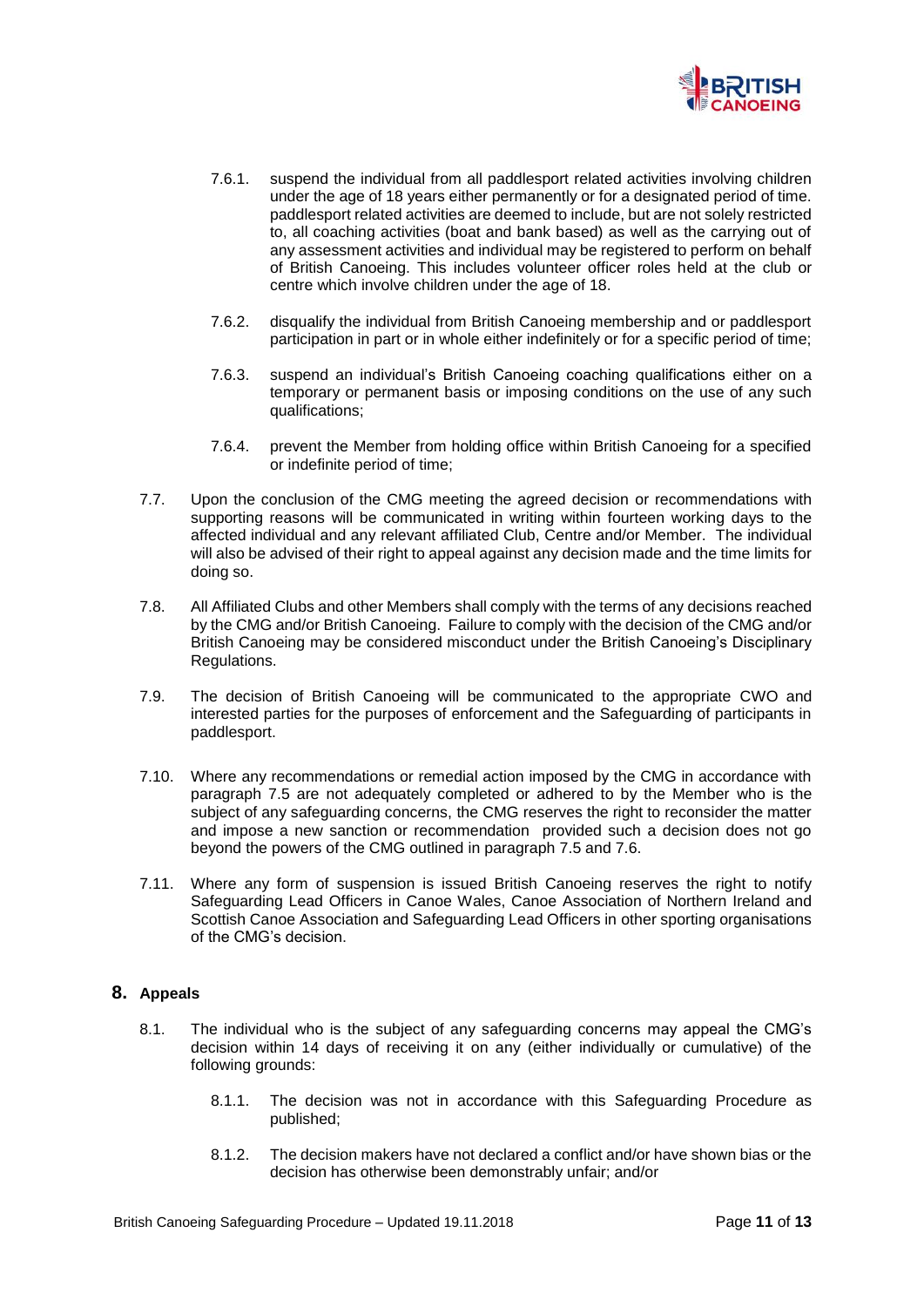

- 7.6.1. suspend the individual from all paddlesport related activities involving children under the age of 18 years either permanently or for a designated period of time. paddlesport related activities are deemed to include, but are not solely restricted to, all coaching activities (boat and bank based) as well as the carrying out of any assessment activities and individual may be registered to perform on behalf of British Canoeing. This includes volunteer officer roles held at the club or centre which involve children under the age of 18.
- 7.6.2. disqualify the individual from British Canoeing membership and or paddlesport participation in part or in whole either indefinitely or for a specific period of time;
- 7.6.3. suspend an individual's British Canoeing coaching qualifications either on a temporary or permanent basis or imposing conditions on the use of any such qualifications;
- 7.6.4. prevent the Member from holding office within British Canoeing for a specified or indefinite period of time;
- 7.7. Upon the conclusion of the CMG meeting the agreed decision or recommendations with supporting reasons will be communicated in writing within fourteen working days to the affected individual and any relevant affiliated Club, Centre and/or Member. The individual will also be advised of their right to appeal against any decision made and the time limits for doing so.
- 7.8. All Affiliated Clubs and other Members shall comply with the terms of any decisions reached by the CMG and/or British Canoeing. Failure to comply with the decision of the CMG and/or British Canoeing may be considered misconduct under the British Canoeing's Disciplinary Regulations.
- 7.9. The decision of British Canoeing will be communicated to the appropriate CWO and interested parties for the purposes of enforcement and the Safeguarding of participants in paddlesport.
- 7.10. Where any recommendations or remedial action imposed by the CMG in accordance with paragraph 7.5 are not adequately completed or adhered to by the Member who is the subject of any safeguarding concerns, the CMG reserves the right to reconsider the matter and impose a new sanction or recommendation provided such a decision does not go beyond the powers of the CMG outlined in paragraph 7.5 and 7.6.
- 7.11. Where any form of suspension is issued British Canoeing reserves the right to notify Safeguarding Lead Officers in Canoe Wales, Canoe Association of Northern Ireland and Scottish Canoe Association and Safeguarding Lead Officers in other sporting organisations of the CMG's decision.

## **8. Appeals**

- 8.1. The individual who is the subject of any safeguarding concerns may appeal the CMG's decision within 14 days of receiving it on any (either individually or cumulative) of the following grounds:
	- 8.1.1. The decision was not in accordance with this Safeguarding Procedure as published;
	- 8.1.2. The decision makers have not declared a conflict and/or have shown bias or the decision has otherwise been demonstrably unfair; and/or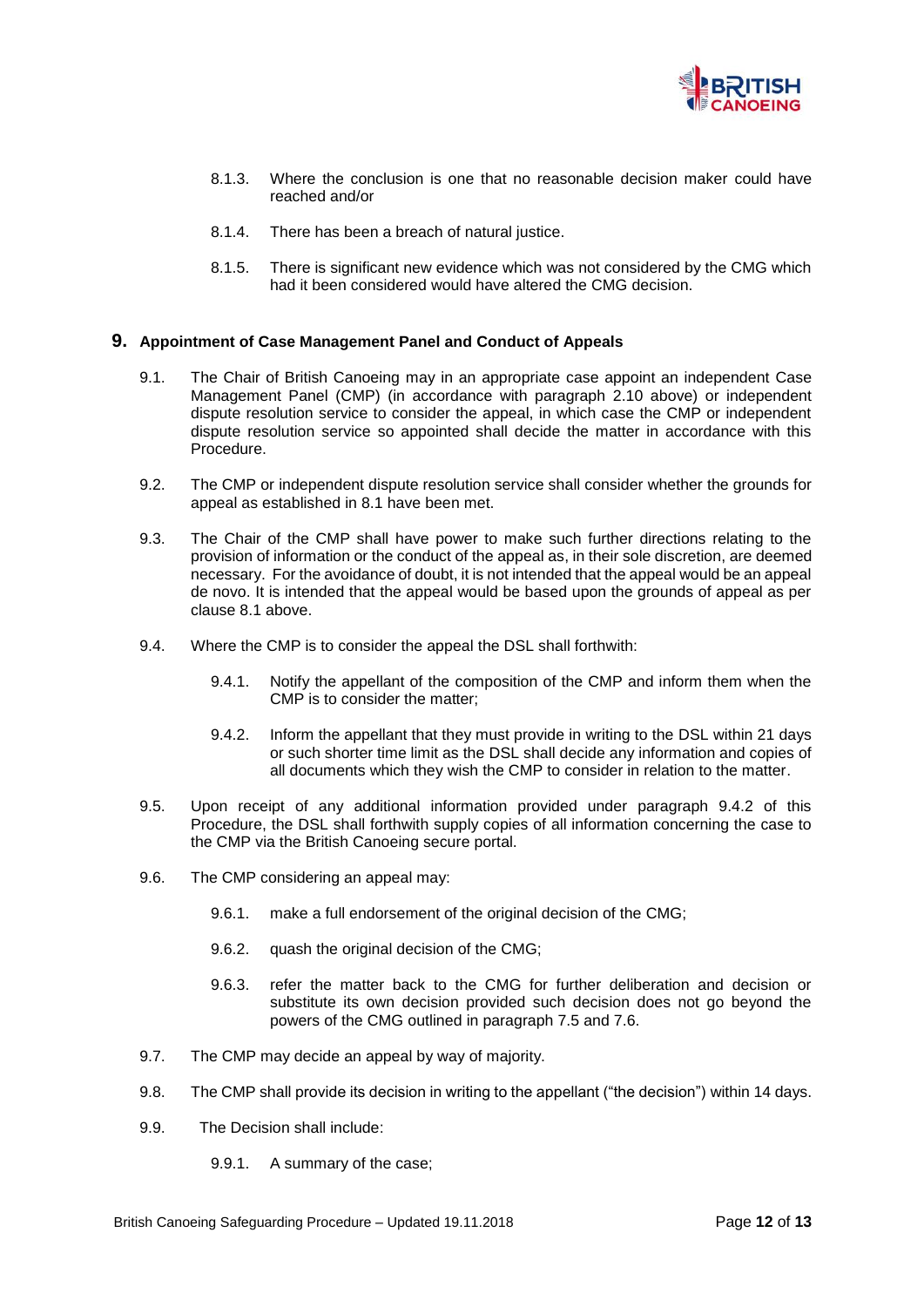

- 8.1.3. Where the conclusion is one that no reasonable decision maker could have reached and/or
- 8.1.4. There has been a breach of natural justice.
- 8.1.5. There is significant new evidence which was not considered by the CMG which had it been considered would have altered the CMG decision.

#### **9. Appointment of Case Management Panel and Conduct of Appeals**

- 9.1. The Chair of British Canoeing may in an appropriate case appoint an independent Case Management Panel (CMP) (in accordance with paragraph 2.10 above) or independent dispute resolution service to consider the appeal, in which case the CMP or independent dispute resolution service so appointed shall decide the matter in accordance with this Procedure.
- 9.2. The CMP or independent dispute resolution service shall consider whether the grounds for appeal as established in 8.1 have been met.
- 9.3. The Chair of the CMP shall have power to make such further directions relating to the provision of information or the conduct of the appeal as, in their sole discretion, are deemed necessary. For the avoidance of doubt, it is not intended that the appeal would be an appeal de novo. It is intended that the appeal would be based upon the grounds of appeal as per clause 8.1 above.
- 9.4. Where the CMP is to consider the appeal the DSL shall forthwith:
	- 9.4.1. Notify the appellant of the composition of the CMP and inform them when the CMP is to consider the matter;
	- 9.4.2. Inform the appellant that they must provide in writing to the DSL within 21 days or such shorter time limit as the DSL shall decide any information and copies of all documents which they wish the CMP to consider in relation to the matter.
- 9.5. Upon receipt of any additional information provided under paragraph 9.4.2 of this Procedure, the DSL shall forthwith supply copies of all information concerning the case to the CMP via the British Canoeing secure portal.
- 9.6. The CMP considering an appeal may:
	- 9.6.1. make a full endorsement of the original decision of the CMG;
	- 9.6.2. quash the original decision of the CMG;
	- 9.6.3. refer the matter back to the CMG for further deliberation and decision or substitute its own decision provided such decision does not go beyond the powers of the CMG outlined in paragraph 7.5 and 7.6.
- 9.7. The CMP may decide an appeal by way of majority.
- 9.8. The CMP shall provide its decision in writing to the appellant ("the decision") within 14 days.
- 9.9. The Decision shall include:
	- 9.9.1. A summary of the case;